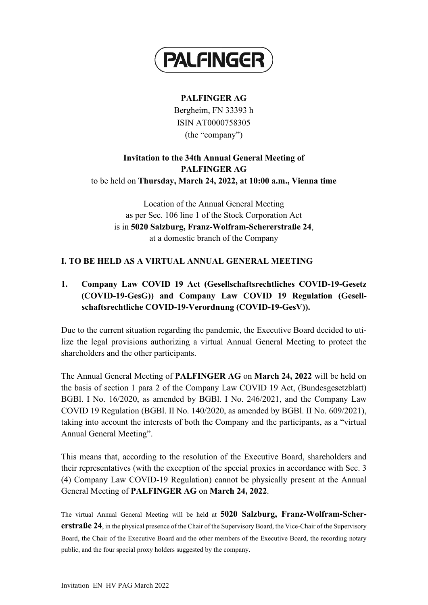

### **PALFINGER AG**

Bergheim, FN 33393 h ISIN AT0000758305 (the "company")

## **Invitation to the 34th Annual General Meeting of PALFINGER AG** to be held on **Thursday, March 24, 2022, at 10:00 a.m., Vienna time**

Location of the Annual General Meeting as per Sec. 106 line 1 of the Stock Corporation Act is in **5020 Salzburg, Franz-Wolfram-Schererstraße 24**, at a domestic branch of the Company

### **I. TO BE HELD AS A VIRTUAL ANNUAL GENERAL MEETING**

# **1. Company Law COVID 19 Act (Gesellschaftsrechtliches COVID-19-Gesetz (COVID-19-GesG)) and Company Law COVID 19 Regulation (Gesellschaftsrechtliche COVID-19-Verordnung (COVID-19-GesV)).**

Due to the current situation regarding the pandemic, the Executive Board decided to utilize the legal provisions authorizing a virtual Annual General Meeting to protect the shareholders and the other participants.

The Annual General Meeting of **PALFINGER AG** on **March 24, 2022** will be held on the basis of section 1 para 2 of the Company Law COVID 19 Act, (Bundesgesetzblatt) BGBl. I No. 16/2020, as amended by BGBl. I No. 246/2021, and the Company Law COVID 19 Regulation (BGBl. II No. 140/2020, as amended by BGBl. II No. 609/2021), taking into account the interests of both the Company and the participants, as a "virtual Annual General Meeting".

This means that, according to the resolution of the Executive Board, shareholders and their representatives (with the exception of the special proxies in accordance with Sec. 3 (4) Company Law COVID-19 Regulation) cannot be physically present at the Annual General Meeting of **PALFINGER AG** on **March 24, 2022**.

The virtual Annual General Meeting will be held at **5020 Salzburg, Franz-Wolfram-Schererstraße 24**, in the physical presence of the Chair of the Supervisory Board, the Vice-Chair of the Supervisory Board, the Chair of the Executive Board and the other members of the Executive Board, the recording notary public, and the four special proxy holders suggested by the company.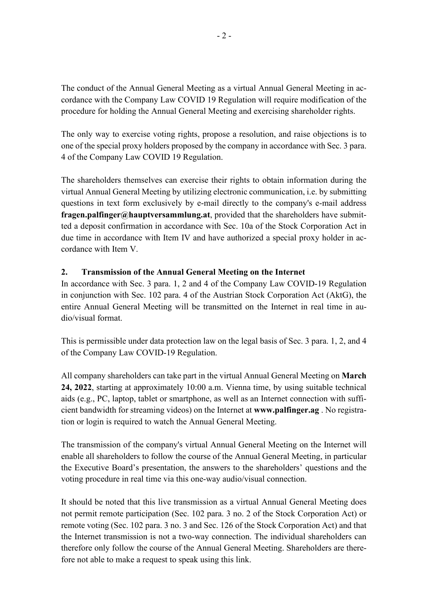The conduct of the Annual General Meeting as a virtual Annual General Meeting in accordance with the Company Law COVID 19 Regulation will require modification of the procedure for holding the Annual General Meeting and exercising shareholder rights.

The only way to exercise voting rights, propose a resolution, and raise objections is to one of the special proxy holders proposed by the company in accordance with Sec. 3 para. 4 of the Company Law COVID 19 Regulation.

The shareholders themselves can exercise their rights to obtain information during the virtual Annual General Meeting by utilizing electronic communication, i.e. by submitting questions in text form exclusively by e-mail directly to the company's e-mail address **fragen.palfinger@hauptversammlung.at**, provided that the shareholders have submitted a deposit confirmation in accordance with Sec. 10a of the Stock Corporation Act in due time in accordance with Item IV and have authorized a special proxy holder in accordance with Item V.

#### **2. Transmission of the Annual General Meeting on the Internet**

In accordance with Sec. 3 para. 1, 2 and 4 of the Company Law COVID-19 Regulation in conjunction with Sec. 102 para. 4 of the Austrian Stock Corporation Act (AktG), the entire Annual General Meeting will be transmitted on the Internet in real time in audio/visual format.

This is permissible under data protection law on the legal basis of Sec. 3 para. 1, 2, and 4 of the Company Law COVID-19 Regulation.

All company shareholders can take part in the virtual Annual General Meeting on **March 24, 2022**, starting at approximately 10:00 a.m. Vienna time, by using suitable technical aids (e.g., PC, laptop, tablet or smartphone, as well as an Internet connection with sufficient bandwidth for streaming videos) on the Internet at **www.palfinger.ag** . No registration or login is required to watch the Annual General Meeting.

The transmission of the company's virtual Annual General Meeting on the Internet will enable all shareholders to follow the course of the Annual General Meeting, in particular the Executive Board's presentation, the answers to the shareholders' questions and the voting procedure in real time via this one-way audio/visual connection.

It should be noted that this live transmission as a virtual Annual General Meeting does not permit remote participation (Sec. 102 para. 3 no. 2 of the Stock Corporation Act) or remote voting (Sec. 102 para. 3 no. 3 and Sec. 126 of the Stock Corporation Act) and that the Internet transmission is not a two-way connection. The individual shareholders can therefore only follow the course of the Annual General Meeting. Shareholders are therefore not able to make a request to speak using this link.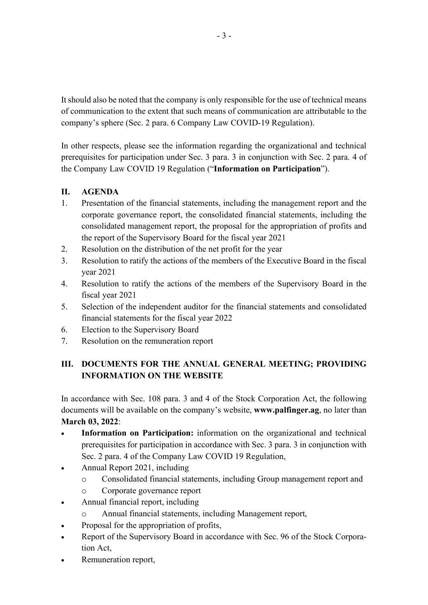It should also be noted that the company is only responsible for the use of technical means of communication to the extent that such means of communication are attributable to the company's sphere (Sec. 2 para. 6 Company Law COVID-19 Regulation).

In other respects, please see the information regarding the organizational and technical prerequisites for participation under Sec. 3 para. 3 in conjunction with Sec. 2 para. 4 of the Company Law COVID 19 Regulation ("**Information on Participation**").

## **II. AGENDA**

- 1. Presentation of the financial statements, including the management report and the corporate governance report, the consolidated financial statements, including the consolidated management report, the proposal for the appropriation of profits and the report of the Supervisory Board for the fiscal year 2021
- 2. Resolution on the distribution of the net profit for the year
- 3. Resolution to ratify the actions of the members of the Executive Board in the fiscal year 2021
- 4. Resolution to ratify the actions of the members of the Supervisory Board in the fiscal year 2021
- 5. Selection of the independent auditor for the financial statements and consolidated financial statements for the fiscal year 2022
- 6. Election to the Supervisory Board
- 7. Resolution on the remuneration report

# **III. DOCUMENTS FOR THE ANNUAL GENERAL MEETING; PROVIDING INFORMATION ON THE WEBSITE**

In accordance with Sec. 108 para. 3 and 4 of the Stock Corporation Act, the following documents will be available on the company's website, **www.palfinger.ag**, no later than **March 03, 2022**:

- **Information on Participation:** information on the organizational and technical prerequisites for participation in accordance with Sec. 3 para. 3 in conjunction with Sec. 2 para. 4 of the Company Law COVID 19 Regulation,
- Annual Report 2021, including
	- o Consolidated financial statements, including Group management report and
	- o Corporate governance report
- Annual financial report, including
	- Annual financial statements, including Management report,
- Proposal for the appropriation of profits,
- Report of the Supervisory Board in accordance with Sec. 96 of the Stock Corporation Act,
- Remuneration report,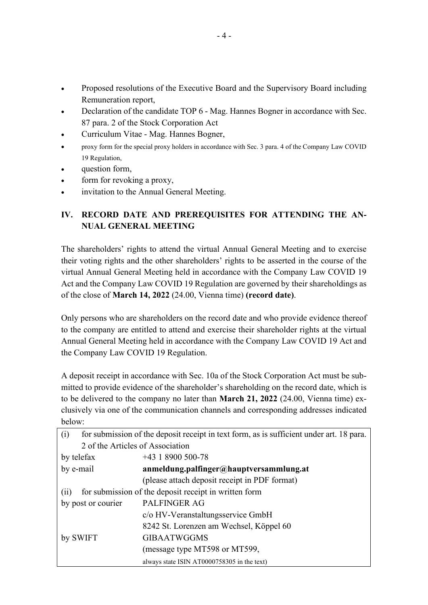- Proposed resolutions of the Executive Board and the Supervisory Board including Remuneration report,
- Declaration of the candidate TOP 6 Mag. Hannes Bogner in accordance with Sec. 87 para. 2 of the Stock Corporation Act
- Curriculum Vitae Mag. Hannes Bogner,
- proxy form for the special proxy holders in accordance with Sec. 3 para. 4 of the Company Law COVID 19 Regulation,
- question form,
- form for revoking a proxy,
- invitation to the Annual General Meeting.

# **IV. RECORD DATE AND PREREQUISITES FOR ATTENDING THE AN-NUAL GENERAL MEETING**

The shareholders' rights to attend the virtual Annual General Meeting and to exercise their voting rights and the other shareholders' rights to be asserted in the course of the virtual Annual General Meeting held in accordance with the Company Law COVID 19 Act and the Company Law COVID 19 Regulation are governed by their shareholdings as of the close of **March 14, 2022** (24.00, Vienna time) **(record date)**.

Only persons who are shareholders on the record date and who provide evidence thereof to the company are entitled to attend and exercise their shareholder rights at the virtual Annual General Meeting held in accordance with the Company Law COVID 19 Act and the Company Law COVID 19 Regulation.

A deposit receipt in accordance with Sec. 10a of the Stock Corporation Act must be submitted to provide evidence of the shareholder's shareholding on the record date, which is to be delivered to the company no later than **March 21, 2022** (24.00, Vienna time) exclusively via one of the communication channels and corresponding addresses indicated below:

| (i)                                                          | for submission of the deposit receipt in text form, as is sufficient under art. 18 para. |
|--------------------------------------------------------------|------------------------------------------------------------------------------------------|
| 2 of the Articles of Association                             |                                                                                          |
| by telefax                                                   | $+43$ 1 8900 500-78                                                                      |
| by e-mail                                                    | anmeldung.palfinger@hauptversammlung.at                                                  |
|                                                              | (please attach deposit receipt in PDF format)                                            |
| for submission of the deposit receipt in written form<br>(i) |                                                                                          |
| by post or courier                                           | <b>PALFINGER AG</b>                                                                      |
|                                                              | c/o HV-Veranstaltungsservice GmbH                                                        |
|                                                              | 8242 St. Lorenzen am Wechsel, Köppel 60                                                  |
| by SWIFT                                                     | <b>GIBAATWGGMS</b>                                                                       |
|                                                              | (message type MT598 or MT599,                                                            |
|                                                              | always state ISIN AT0000758305 in the text)                                              |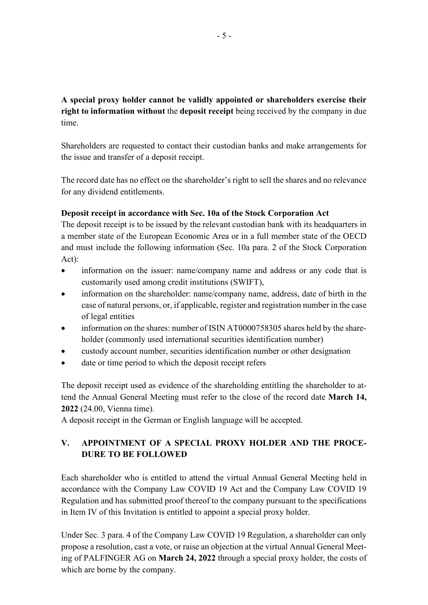## **A special proxy holder cannot be validly appointed or shareholders exercise their right to information without** the **deposit receipt** being received by the company in due time.

Shareholders are requested to contact their custodian banks and make arrangements for the issue and transfer of a deposit receipt.

The record date has no effect on the shareholder's right to sell the shares and no relevance for any dividend entitlements.

#### **Deposit receipt in accordance with Sec. 10a of the Stock Corporation Act**

The deposit receipt is to be issued by the relevant custodian bank with its headquarters in a member state of the European Economic Area or in a full member state of the OECD and must include the following information (Sec. 10a para. 2 of the Stock Corporation Act):

- information on the issuer: name/company name and address or any code that is customarily used among credit institutions (SWIFT),
- information on the shareholder: name/company name, address, date of birth in the case of natural persons, or, if applicable, register and registration number in the case of legal entities
- information on the shares: number of ISIN AT0000758305 shares held by the shareholder (commonly used international securities identification number)
- custody account number, securities identification number or other designation
- date or time period to which the deposit receipt refers

The deposit receipt used as evidence of the shareholding entitling the shareholder to attend the Annual General Meeting must refer to the close of the record date **March 14, 2022** (24.00, Vienna time).

A deposit receipt in the German or English language will be accepted.

## **V. APPOINTMENT OF A SPECIAL PROXY HOLDER AND THE PROCE-DURE TO BE FOLLOWED**

Each shareholder who is entitled to attend the virtual Annual General Meeting held in accordance with the Company Law COVID 19 Act and the Company Law COVID 19 Regulation and has submitted proof thereof to the company pursuant to the specifications in Item IV of this Invitation is entitled to appoint a special proxy holder.

Under Sec. 3 para. 4 of the Company Law COVID 19 Regulation, a shareholder can only propose a resolution, cast a vote, or raise an objection at the virtual Annual General Meeting of PALFINGER AG on **March 24, 2022** through a special proxy holder, the costs of which are borne by the company.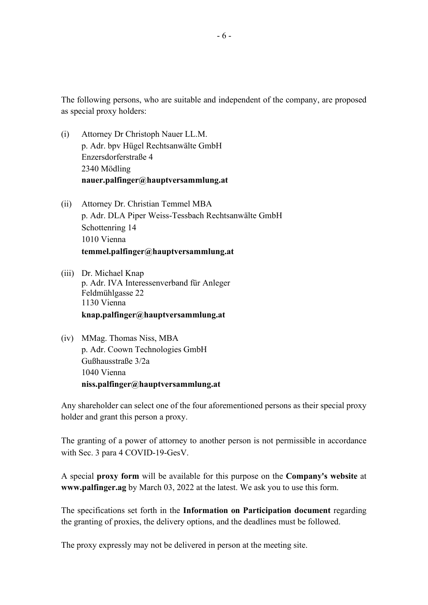The following persons, who are suitable and independent of the company, are proposed as special proxy holders:

- (i) Attorney Dr Christoph Nauer LL.M. p. Adr. bpv Hügel Rechtsanwälte GmbH Enzersdorferstraße 4 2340 Mödling **nauer.palfinger@hauptversammlung.at**
- (ii) Attorney Dr. Christian Temmel MBA p. Adr. DLA Piper Weiss-Tessbach Rechtsanwälte GmbH Schottenring 14 1010 Vienna **temmel.palfinger@hauptversammlung.at**
- (iii) Dr. Michael Knap p. Adr. IVA Interessenverband für Anleger Feldmühlgasse 22 1130 Vienna **knap.palfinger@hauptversammlung.at**
- (iv) MMag. Thomas Niss, MBA p. Adr. Coown Technologies GmbH Gußhausstraße 3/2a 1040 Vienna **niss.palfinger@hauptversammlung.at**

Any shareholder can select one of the four aforementioned persons as their special proxy holder and grant this person a proxy.

The granting of a power of attorney to another person is not permissible in accordance with Sec. 3 para 4 COVID-19-GesV.

A special **proxy form** will be available for this purpose on the **Company's website** at **www.palfinger.ag** by March 03, 2022 at the latest. We ask you to use this form.

The specifications set forth in the **Information on Participation document** regarding the granting of proxies, the delivery options, and the deadlines must be followed.

The proxy expressly may not be delivered in person at the meeting site.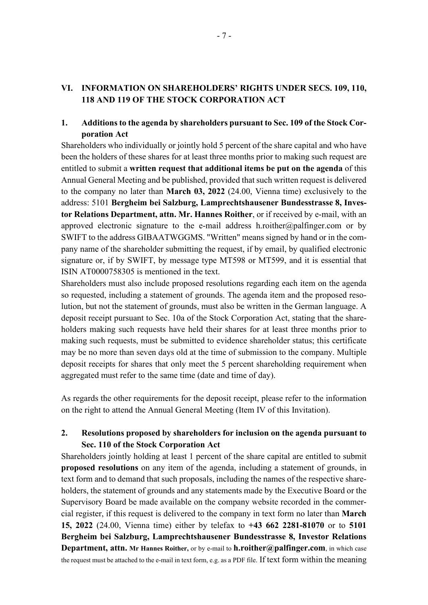#### **VI. INFORMATION ON SHAREHOLDERS' RIGHTS UNDER SECS. 109, 110, 118 AND 119 OF THE STOCK CORPORATION ACT**

#### **1. Additions to the agenda by shareholders pursuant to Sec. 109 of the Stock Corporation Act**

Shareholders who individually or jointly hold 5 percent of the share capital and who have been the holders of these shares for at least three months prior to making such request are entitled to submit a **written request that additional items be put on the agenda** of this Annual General Meeting and be published, provided that such written request is delivered to the company no later than **March 03, 2022** (24.00, Vienna time) exclusively to the address: 5101 **Bergheim bei Salzburg, Lamprechtshausener Bundesstrasse 8, Investor Relations Department, attn. Mr. Hannes Roither**, or if received by e-mail, with an approved electronic signature to the e-mail address h.roither@palfinger.com or by SWIFT to the address GIBAATWGGMS. "Written" means signed by hand or in the company name of the shareholder submitting the request, if by email, by qualified electronic signature or, if by SWIFT, by message type MT598 or MT599, and it is essential that ISIN AT0000758305 is mentioned in the text.

Shareholders must also include proposed resolutions regarding each item on the agenda so requested, including a statement of grounds. The agenda item and the proposed resolution, but not the statement of grounds, must also be written in the German language. A deposit receipt pursuant to Sec. 10a of the Stock Corporation Act, stating that the shareholders making such requests have held their shares for at least three months prior to making such requests, must be submitted to evidence shareholder status; this certificate may be no more than seven days old at the time of submission to the company. Multiple deposit receipts for shares that only meet the 5 percent shareholding requirement when aggregated must refer to the same time (date and time of day).

As regards the other requirements for the deposit receipt, please refer to the information on the right to attend the Annual General Meeting (Item IV of this Invitation).

#### **2. Resolutions proposed by shareholders for inclusion on the agenda pursuant to Sec. 110 of the Stock Corporation Act**

Shareholders jointly holding at least 1 percent of the share capital are entitled to submit **proposed resolutions** on any item of the agenda, including a statement of grounds, in text form and to demand that such proposals, including the names of the respective shareholders, the statement of grounds and any statements made by the Executive Board or the Supervisory Board be made available on the company website recorded in the commercial register, if this request is delivered to the company in text form no later than **March 15, 2022** (24.00, Vienna time) either by telefax to **+43 662 2281-81070** or to **5101 Bergheim bei Salzburg, Lamprechtshausener Bundesstrasse 8, Investor Relations Department, attn. Mr Hannes Roither,** or by e-mail to **[h.roither@palfinger.com](mailto:h.roither@palfinger.com)**, in which case the request must be attached to the e-mail in text form, e.g. as a PDF file. If text form within the meaning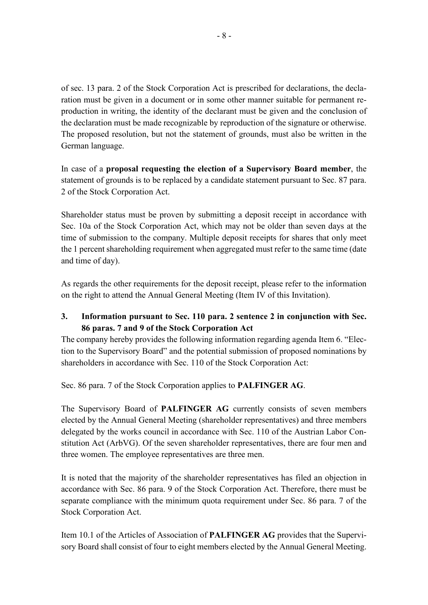of sec. 13 para. 2 of the Stock Corporation Act is prescribed for declarations, the declaration must be given in a document or in some other manner suitable for permanent reproduction in writing, the identity of the declarant must be given and the conclusion of the declaration must be made recognizable by reproduction of the signature or otherwise. The proposed resolution, but not the statement of grounds, must also be written in the German language.

In case of a **proposal requesting the election of a Supervisory Board member**, the statement of grounds is to be replaced by a candidate statement pursuant to Sec. 87 para. 2 of the Stock Corporation Act.

Shareholder status must be proven by submitting a deposit receipt in accordance with Sec. 10a of the Stock Corporation Act, which may not be older than seven days at the time of submission to the company. Multiple deposit receipts for shares that only meet the 1 percent shareholding requirement when aggregated must refer to the same time (date and time of day).

As regards the other requirements for the deposit receipt, please refer to the information on the right to attend the Annual General Meeting (Item IV of this Invitation).

### **3. Information pursuant to Sec. 110 para. 2 sentence 2 in conjunction with Sec. 86 paras. 7 and 9 of the Stock Corporation Act**

The company hereby provides the following information regarding agenda Item 6. "Election to the Supervisory Board" and the potential submission of proposed nominations by shareholders in accordance with Sec. 110 of the Stock Corporation Act:

Sec. 86 para. 7 of the Stock Corporation applies to **PALFINGER AG**.

The Supervisory Board of **PALFINGER AG** currently consists of seven members elected by the Annual General Meeting (shareholder representatives) and three members delegated by the works council in accordance with Sec. 110 of the Austrian Labor Constitution Act (ArbVG). Of the seven shareholder representatives, there are four men and three women. The employee representatives are three men.

It is noted that the majority of the shareholder representatives has filed an objection in accordance with Sec. 86 para. 9 of the Stock Corporation Act. Therefore, there must be separate compliance with the minimum quota requirement under Sec. 86 para. 7 of the Stock Corporation Act.

Item 10.1 of the Articles of Association of **PALFINGER AG** provides that the Supervisory Board shall consist of four to eight members elected by the Annual General Meeting.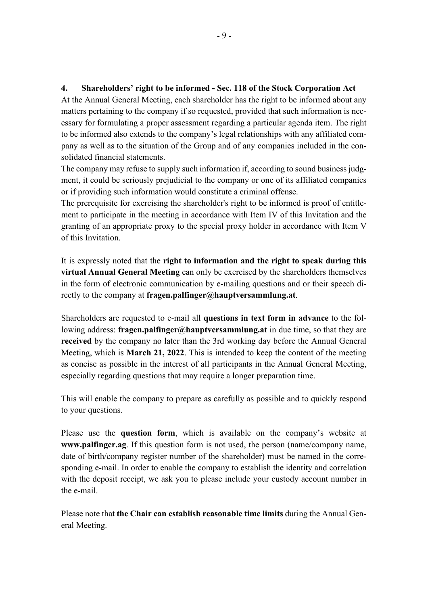#### **4. Shareholders' right to be informed - Sec. 118 of the Stock Corporation Act**

At the Annual General Meeting, each shareholder has the right to be informed about any matters pertaining to the company if so requested, provided that such information is necessary for formulating a proper assessment regarding a particular agenda item. The right to be informed also extends to the company's legal relationships with any affiliated company as well as to the situation of the Group and of any companies included in the consolidated financial statements.

The company may refuse to supply such information if, according to sound business judgment, it could be seriously prejudicial to the company or one of its affiliated companies or if providing such information would constitute a criminal offense.

The prerequisite for exercising the shareholder's right to be informed is proof of entitlement to participate in the meeting in accordance with Item IV of this Invitation and the granting of an appropriate proxy to the special proxy holder in accordance with Item V of this Invitation.

It is expressly noted that the **right to information and the right to speak during this virtual Annual General Meeting** can only be exercised by the shareholders themselves in the form of electronic communication by e-mailing questions and or their speech directly to the company at **fragen.palfinger@hauptversammlung.at**.

Shareholders are requested to e-mail all **questions in text form in advance** to the following address: **fragen.palfinger@hauptversammlung.at** in due time, so that they are **received** by the company no later than the 3rd working day before the Annual General Meeting, which is **March 21, 2022**. This is intended to keep the content of the meeting as concise as possible in the interest of all participants in the Annual General Meeting, especially regarding questions that may require a longer preparation time.

This will enable the company to prepare as carefully as possible and to quickly respond to your questions.

Please use the **question form**, which is available on the company's website at **www.palfinger.ag**. If this question form is not used, the person (name/company name, date of birth/company register number of the shareholder) must be named in the corresponding e-mail. In order to enable the company to establish the identity and correlation with the deposit receipt, we ask you to please include your custody account number in the e-mail.

Please note that **the Chair can establish reasonable time limits** during the Annual General Meeting.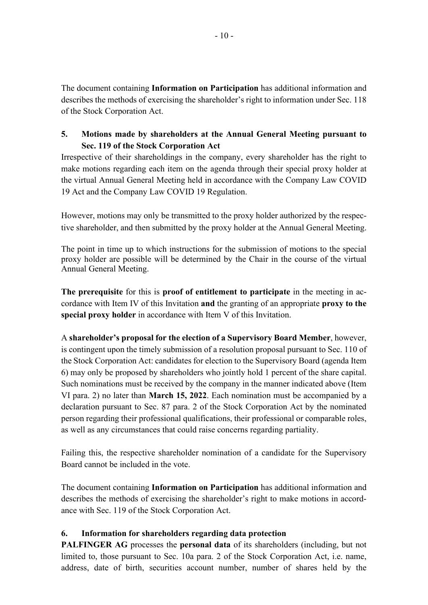The document containing **Information on Participation** has additional information and describes the methods of exercising the shareholder's right to information under Sec. 118 of the Stock Corporation Act.

### **5. Motions made by shareholders at the Annual General Meeting pursuant to Sec. 119 of the Stock Corporation Act**

Irrespective of their shareholdings in the company, every shareholder has the right to make motions regarding each item on the agenda through their special proxy holder at the virtual Annual General Meeting held in accordance with the Company Law COVID 19 Act and the Company Law COVID 19 Regulation.

However, motions may only be transmitted to the proxy holder authorized by the respective shareholder, and then submitted by the proxy holder at the Annual General Meeting.

The point in time up to which instructions for the submission of motions to the special proxy holder are possible will be determined by the Chair in the course of the virtual Annual General Meeting.

**The prerequisite** for this is **proof of entitlement to participate** in the meeting in accordance with Item IV of this Invitation **and** the granting of an appropriate **proxy to the special proxy holder** in accordance with Item V of this Invitation.

A **shareholder's proposal for the election of a Supervisory Board Member**, however, is contingent upon the timely submission of a resolution proposal pursuant to Sec. 110 of the Stock Corporation Act: candidates for election to the Supervisory Board (agenda Item 6) may only be proposed by shareholders who jointly hold 1 percent of the share capital. Such nominations must be received by the company in the manner indicated above (Item VI para. 2) no later than **March 15, 2022**. Each nomination must be accompanied by a declaration pursuant to Sec. 87 para. 2 of the Stock Corporation Act by the nominated person regarding their professional qualifications, their professional or comparable roles, as well as any circumstances that could raise concerns regarding partiality.

Failing this, the respective shareholder nomination of a candidate for the Supervisory Board cannot be included in the vote.

The document containing **Information on Participation** has additional information and describes the methods of exercising the shareholder's right to make motions in accordance with Sec. 119 of the Stock Corporation Act.

### **6. Information for shareholders regarding data protection**

**PALFINGER AG** processes the **personal data** of its shareholders (including, but not limited to, those pursuant to Sec. 10a para. 2 of the Stock Corporation Act, i.e. name, address, date of birth, securities account number, number of shares held by the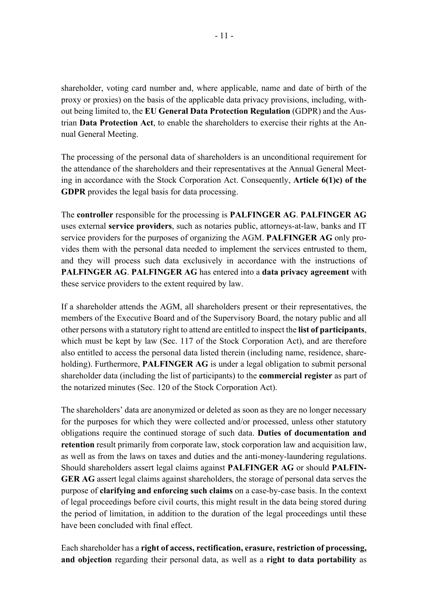shareholder, voting card number and, where applicable, name and date of birth of the proxy or proxies) on the basis of the applicable data privacy provisions, including, without being limited to, the **EU General Data Protection Regulation** (GDPR) and the Austrian **Data Protection Act**, to enable the shareholders to exercise their rights at the Annual General Meeting.

The processing of the personal data of shareholders is an unconditional requirement for the attendance of the shareholders and their representatives at the Annual General Meeting in accordance with the Stock Corporation Act. Consequently, **Article 6(1)c) of the GDPR** provides the legal basis for data processing.

The **controller** responsible for the processing is **PALFINGER AG**. **PALFINGER AG** uses external **service providers**, such as notaries public, attorneys-at-law, banks and IT service providers for the purposes of organizing the AGM. **PALFINGER AG** only provides them with the personal data needed to implement the services entrusted to them, and they will process such data exclusively in accordance with the instructions of **PALFINGER AG**. **PALFINGER AG** has entered into a **data privacy agreement** with these service providers to the extent required by law.

If a shareholder attends the AGM, all shareholders present or their representatives, the members of the Executive Board and of the Supervisory Board, the notary public and all other persons with a statutory right to attend are entitled to inspect the **list of participants**, which must be kept by law (Sec. 117 of the Stock Corporation Act), and are therefore also entitled to access the personal data listed therein (including name, residence, shareholding). Furthermore, **PALFINGER AG** is under a legal obligation to submit personal shareholder data (including the list of participants) to the **commercial register** as part of the notarized minutes (Sec. 120 of the Stock Corporation Act).

The shareholders' data are anonymized or deleted as soon as they are no longer necessary for the purposes for which they were collected and/or processed, unless other statutory obligations require the continued storage of such data. **Duties of documentation and retention** result primarily from corporate law, stock corporation law and acquisition law, as well as from the laws on taxes and duties and the anti-money-laundering regulations. Should shareholders assert legal claims against **PALFINGER AG** or should **PALFIN-GER AG** assert legal claims against shareholders, the storage of personal data serves the purpose of **clarifying and enforcing such claims** on a case-by-case basis. In the context of legal proceedings before civil courts, this might result in the data being stored during the period of limitation, in addition to the duration of the legal proceedings until these have been concluded with final effect.

Each shareholder has a **right of access, rectification, erasure, restriction of processing, and objection** regarding their personal data, as well as a **right to data portability** as